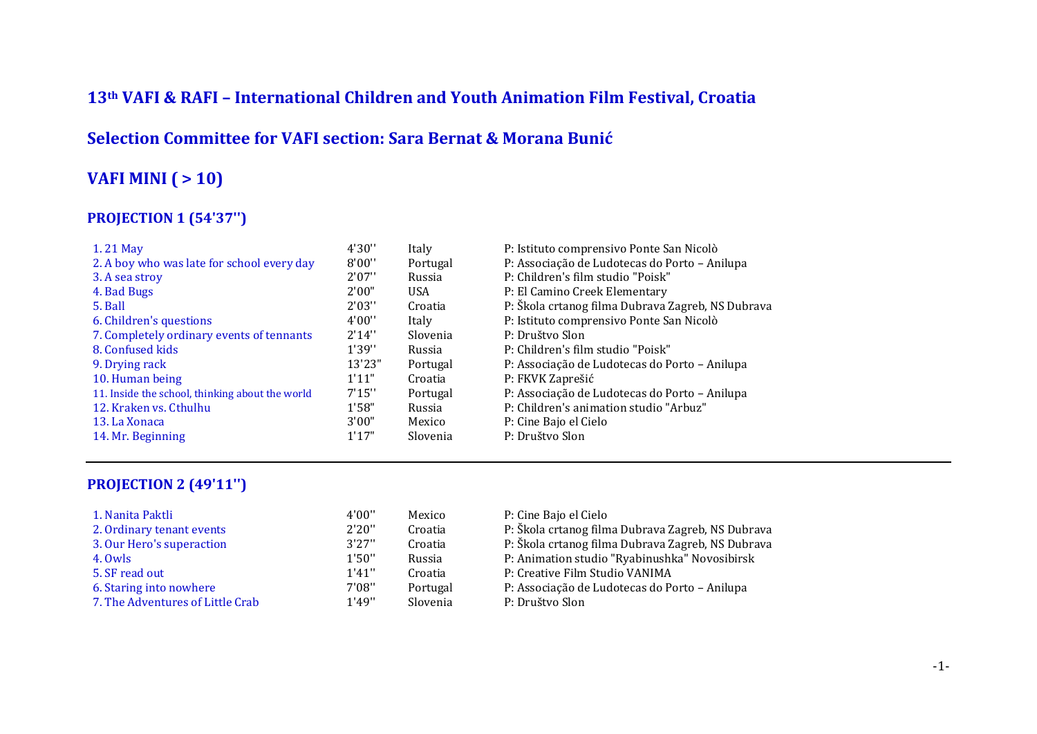### **13th VAFI & RAFI – International Children and Youth Animation Film Festival, Croatia**

#### **Selection Committee for VAFI section: Sara Bernat & Morana Bunić**

### **VAFI MINI ( > 10)**

#### **PROJECTION 1 (54'37'')**

| 1.21 May                                        | 4'30'' | Italy      | P: Istituto comprensivo Ponte San Nicolò          |
|-------------------------------------------------|--------|------------|---------------------------------------------------|
| 2. A boy who was late for school every day      | 8'00'' | Portugal   | P: Associação de Ludotecas do Porto - Anilupa     |
| 3. A sea stroy                                  | 2'07'' | Russia     | P: Children's film studio "Poisk"                 |
| 4. Bad Bugs                                     | 2'00"  | <b>USA</b> | P: El Camino Creek Elementary                     |
| 5. Ball                                         | 2'03'' | Croatia    | P: Škola crtanog filma Dubrava Zagreb, NS Dubrava |
| 6. Children's questions                         | 4'00'' | Italy      | P: Istituto comprensivo Ponte San Nicolò          |
| 7. Completely ordinary events of tennants       | 2'14'' | Slovenia   | P: Društvo Slon                                   |
| 8. Confused kids                                | 1'39'' | Russia     | P: Children's film studio "Poisk"                 |
| 9. Drying rack                                  | 13'23" | Portugal   | P: Associação de Ludotecas do Porto - Anilupa     |
| 10. Human being                                 | 1'11"  | Croatia    | P: FKVK Zaprešić                                  |
| 11. Inside the school, thinking about the world | 7'15'' | Portugal   | P: Associação de Ludotecas do Porto - Anilupa     |
| 12. Kraken vs. Cthulhu                          | 1'58"  | Russia     | P: Children's animation studio "Arbuz"            |
| 13. La Xonaca                                   | 3'00"  | Mexico     | P: Cine Bajo el Cielo                             |
| 14. Mr. Beginning                               | 1'17"  | Slovenia   | P: Društvo Slon                                   |

#### **PROJECTION 2 (49'11'')**

| 1. Nanita Paktli                 | 4'00"  | Mexico   | P: Cine Bajo el Cielo                             |
|----------------------------------|--------|----------|---------------------------------------------------|
| 2. Ordinary tenant events        | 2'20'' | Croatia  | P: Škola crtanog filma Dubrava Zagreb, NS Dubrava |
| 3. Our Hero's superaction        | 3'27'' | Croatia  | P: Škola crtanog filma Dubrava Zagreb, NS Dubrava |
| 4. Owls                          | 1'50'' | Russia   | P: Animation studio "Ryabinushka" Novosibirsk     |
| 5. SF read out                   | 1'41'' | Croatia  | P: Creative Film Studio VANIMA                    |
| 6. Staring into nowhere          | 7'08"  | Portugal | P: Associação de Ludotecas do Porto – Anilupa     |
| 7. The Adventures of Little Crab | 1'49'' | Slovenia | P: Društvo Slon                                   |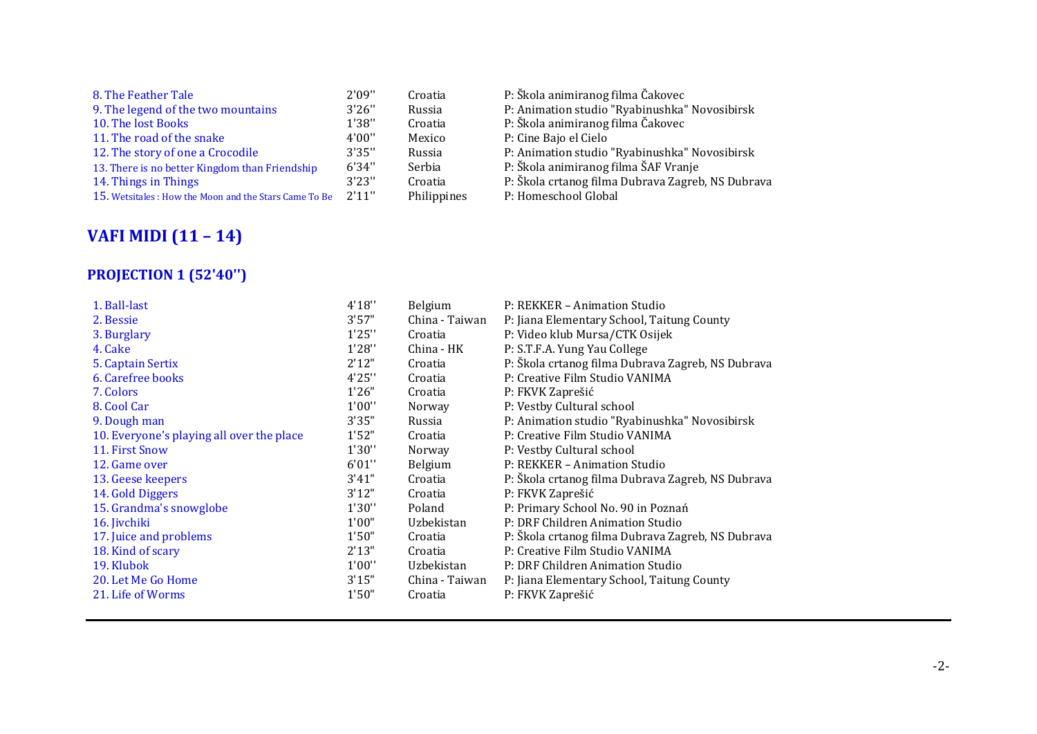| 8. The Feather Tale                                   | 2'09'' | Croatia     | P: Škola animiranog filma Čakovec                 |
|-------------------------------------------------------|--------|-------------|---------------------------------------------------|
| 9. The legend of the two mountains                    | 3'26'' | Russia      | P: Animation studio "Ryabinushka" Novosibirsk     |
| 10. The lost Books                                    | 1'38"  | Croatia     | P: Škola animiranog filma Čakovec                 |
| 11. The road of the snake                             | 4'00'' | Mexico      | P: Cine Bajo el Cielo                             |
| 12. The story of one a Crocodile                      | 3'35"  | Russia      | P: Animation studio "Ryabinushka" Novosibirsk     |
| 13. There is no better Kingdom than Friendship        | 6'34"  | Serbia      | P: Škola animiranog filma ŠAF Vranje              |
| 14. Things in Things                                  | 3'23'' | Croatia     | P: Škola crtanog filma Dubrava Zagreb, NS Dubrava |
| 15. Wetsitales: How the Moon and the Stars Came To Be | 2'11"  | Philippines | P: Homeschool Global                              |
|                                                       |        |             |                                                   |

# **VAFI MIDI (11 – 14)**

### **PROJECTION 1 (52'40'')**

| 1. Ball-last                              | 4'18"  | Belgium        | P: REKKER - Animation Studio                      |
|-------------------------------------------|--------|----------------|---------------------------------------------------|
| 2. Bessie                                 | 3'57"  | China - Taiwan | P: Jiana Elementary School, Taitung County        |
| 3. Burglary                               | 1'25'' | Croatia        | P: Video klub Mursa/CTK Osijek                    |
| 4. Cake                                   | 1'28"  | China - HK     | P: S.T.F.A. Yung Yau College                      |
| 5. Captain Sertix                         | 2'12"  | Croatia        | P: Škola crtanog filma Dubrava Zagreb, NS Dubrava |
| 6. Carefree books                         | 4'25'' | Croatia        | P: Creative Film Studio VANIMA                    |
| 7. Colors                                 | 1'26"  | Croatia        | P: FKVK Zaprešić                                  |
| 8. Cool Car                               | 1'00'' | Norway         | P: Vestby Cultural school                         |
| 9. Dough man                              | 3'35"  | Russia         | P: Animation studio "Ryabinushka" Novosibirsk     |
| 10. Everyone's playing all over the place | 1'52"  | Croatia        | P: Creative Film Studio VANIMA                    |
| 11. First Snow                            | 1'30'' | Norway         | P: Vestby Cultural school                         |
| 12. Game over                             | 6'01"  | Belgium        | P: REKKER - Animation Studio                      |
| 13. Geese keepers                         | 3'41"  | Croatia        | P: Škola crtanog filma Dubrava Zagreb, NS Dubrava |
| 14. Gold Diggers                          | 3'12"  | Croatia        | P: FKVK Zaprešić                                  |
| 15. Grandma's snowglobe                   | 1'30"  | Poland         | P: Primary School No. 90 in Poznań                |
| 16. Jivchiki                              | 1'00"  | Uzbekistan     | P: DRF Children Animation Studio                  |
| 17. Juice and problems                    | 1'50"  | Croatia        | P: Škola crtanog filma Dubrava Zagreb, NS Dubrava |
| 18. Kind of scary                         | 2'13"  | Croatia        | P: Creative Film Studio VANIMA                    |
| 19. Klubok                                | 1'00'' | Uzbekistan     | P: DRF Children Animation Studio                  |
| 20. Let Me Go Home                        | 3'15"  | China - Taiwan | P: Jiana Elementary School, Taitung County        |
| 21. Life of Worms                         | 1'50"  | Croatia        | P: FKVK Zaprešić                                  |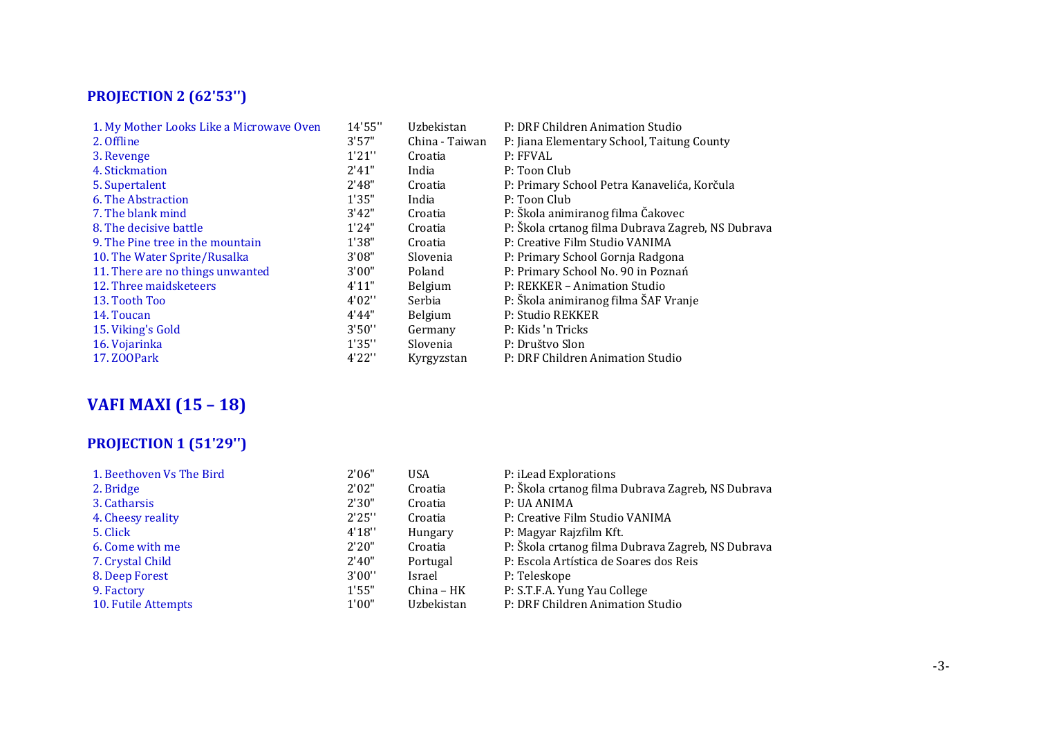# **PROJECTION 2 (62'53'')**

| 1. My Mother Looks Like a Microwave Oven | 14'55" | Uzbekistan     | P: DRF Children Animation Studio                  |
|------------------------------------------|--------|----------------|---------------------------------------------------|
| 2. Offline                               | 3'57"  | China - Taiwan | P: Jiana Elementary School, Taitung County        |
| 3. Revenge                               | 1'21'' | Croatia        | P: FFVAL                                          |
| 4. Stickmation                           | 2'41"  | India          | P: Toon Club                                      |
| 5. Supertalent                           | 2'48"  | Croatia        | P: Primary School Petra Kanavelića, Korčula       |
| 6. The Abstraction                       | 1'35"  | India          | P: Toon Club                                      |
| 7. The blank mind                        | 3'42"  | Croatia        | P: Škola animiranog filma Čakovec                 |
| 8. The decisive battle                   | 1'24"  | Croatia        | P: Škola crtanog filma Dubrava Zagreb, NS Dubrava |
| 9. The Pine tree in the mountain         | 1'38"  | Croatia        | P: Creative Film Studio VANIMA                    |
| 10. The Water Sprite/Rusalka             | 3'08"  | Slovenia       | P: Primary School Gornja Radgona                  |
| 11. There are no things unwanted         | 3'00"  | Poland         | P: Primary School No. 90 in Poznań                |
| 12. Three maidsketeers                   | 4'11"  | <b>Belgium</b> | P: REKKER – Animation Studio                      |
| 13. Tooth Too                            | 4'02'' | Serbia         | P: Škola animiranog filma ŠAF Vranje              |
| 14. Toucan                               | 4'44"  | Belgium        | P: Studio REKKER                                  |
| 15. Viking's Gold                        | 3'50'' | Germany        | P: Kids 'n Tricks                                 |
| 16. Vojarinka                            | 1'35"  | Slovenia       | P: Društvo Slon                                   |
| 17. Z00Park                              | 4'22'' | Kyrgyzstan     | P: DRF Children Animation Studio                  |

# **VAFI MAXI (15 – 18)**

# **PROJECTION 1 (51'29'')**

| 1. Beethoven Vs The Bird | 2'06"  | <b>USA</b> | P: iLead Explorations                             |
|--------------------------|--------|------------|---------------------------------------------------|
| 2. Bridge                | 2'02"  | Croatia    | P: Škola crtanog filma Dubrava Zagreb, NS Dubrava |
| 3. Catharsis             | 2'30"  | Croatia    | P: UA ANIMA                                       |
| 4. Cheesy reality        | 2'25"  | Croatia    | P: Creative Film Studio VANIMA                    |
| 5. Click                 | 4'18"  | Hungary    | P: Magyar Rajzfilm Kft.                           |
| 6. Come with me          | 2'20"  | Croatia    | P: Škola crtanog filma Dubrava Zagreb, NS Dubrava |
| 7. Crystal Child         | 2'40"  | Portugal   | P: Escola Artística de Soares dos Reis            |
| 8. Deep Forest           | 3'00'' | Israel     | P: Teleskope                                      |
| 9. Factory               | 1'55"  | China – HK | P: S.T.F.A. Yung Yau College                      |
| 10. Futile Attempts      | 1'00"  | Uzbekistan | P: DRF Children Animation Studio                  |